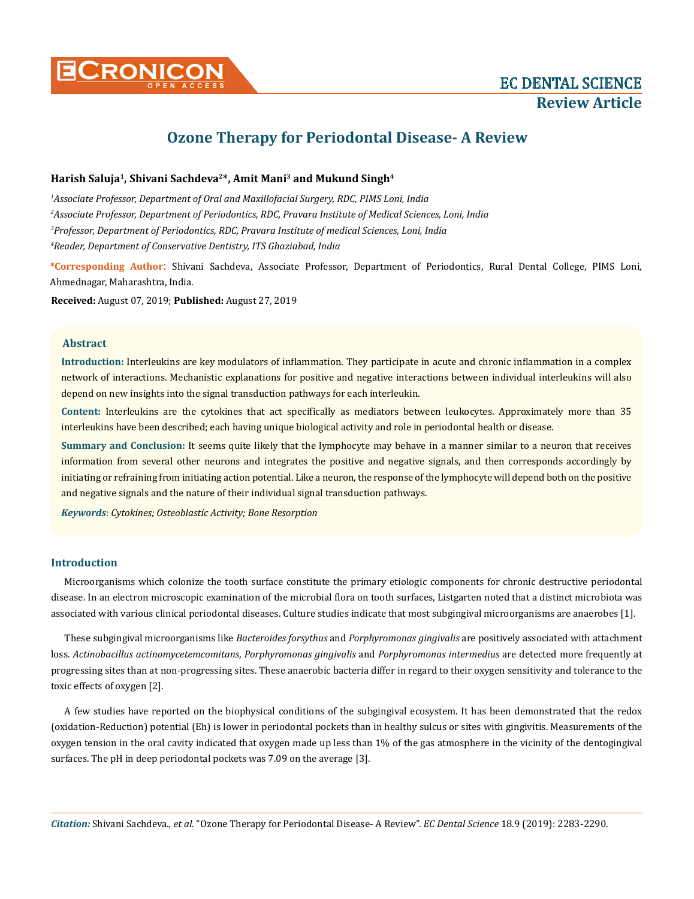

# **Ozone Therapy for Periodontal Disease- A Review**

### **Harish Saluja1, Shivani Sachdeva2\*, Amit Mani3 and Mukund Singh4**

 *Associate Professor, Department of Oral and Maxillofacial Surgery, RDC, PIMS Loni, India Associate Professor, Department of Periodontics, RDC, Pravara Institute of Medical Sciences, Loni, India Professor, Department of Periodontics, RDC, Pravara Institute of medical Sciences, Loni, India Reader, Department of Conservative Dentistry, ITS Ghaziabad, India*

**\*Corresponding Author**: Shivani Sachdeva, Associate Professor, Department of Periodontics, Rural Dental College, PIMS Loni, Ahmednagar, Maharashtra, India.

**Received:** August 07, 2019; **Published:** August 27, 2019

### **Abstract**

**Introduction:** Interleukins are key modulators of inflammation. They participate in acute and chronic inflammation in a complex network of interactions. Mechanistic explanations for positive and negative interactions between individual interleukins will also depend on new insights into the signal transduction pathways for each interleukin.

**Content:** Interleukins are the cytokines that act specifically as mediators between leukocytes. Approximately more than 35 interleukins have been described; each having unique biological activity and role in periodontal health or disease.

**Summary and Conclusion:** It seems quite likely that the lymphocyte may behave in a manner similar to a neuron that receives information from several other neurons and integrates the positive and negative signals, and then corresponds accordingly by initiating or refraining from initiating action potential. Like a neuron, the response of the lymphocyte will depend both on the positive and negative signals and the nature of their individual signal transduction pathways.

*Keywords*: *Cytokines; Osteoblastic Activity; Bone Resorption*

### **Introduction**

Microorganisms which colonize the tooth surface constitute the primary etiologic components for chronic destructive periodontal disease. In an electron microscopic examination of the microbial flora on tooth surfaces, Listgarten noted that a distinct microbiota was associated with various clinical periodontal diseases. Culture studies indicate that most subgingival microorganisms are anaerobes [1].

These subgingival microorganisms like *Bacteroides forsythus* and *Porphyromonas gingivalis* are positively associated with attachment loss. *Actinobacillus actinomycetemcomitans*, *Porphyromonas gingivalis* and *Porphyromonas intermedius* are detected more frequently at progressing sites than at non-progressing sites. These anaerobic bacteria differ in regard to their oxygen sensitivity and tolerance to the toxic effects of oxygen [2].

A few studies have reported on the biophysical conditions of the subgingival ecosystem. It has been demonstrated that the redox (oxidation-Reduction) potential (Eh) is lower in periodontal pockets than in healthy sulcus or sites with gingivitis. Measurements of the oxygen tension in the oral cavity indicated that oxygen made up less than 1% of the gas atmosphere in the vicinity of the dentogingival surfaces. The pH in deep periodontal pockets was 7.09 on the average [3].

*Citation:* Shivani Sachdeva*., et al.* "Ozone Therapy for Periodontal Disease- A Review". *EC Dental Science* 18.9 (2019): 2283-2290.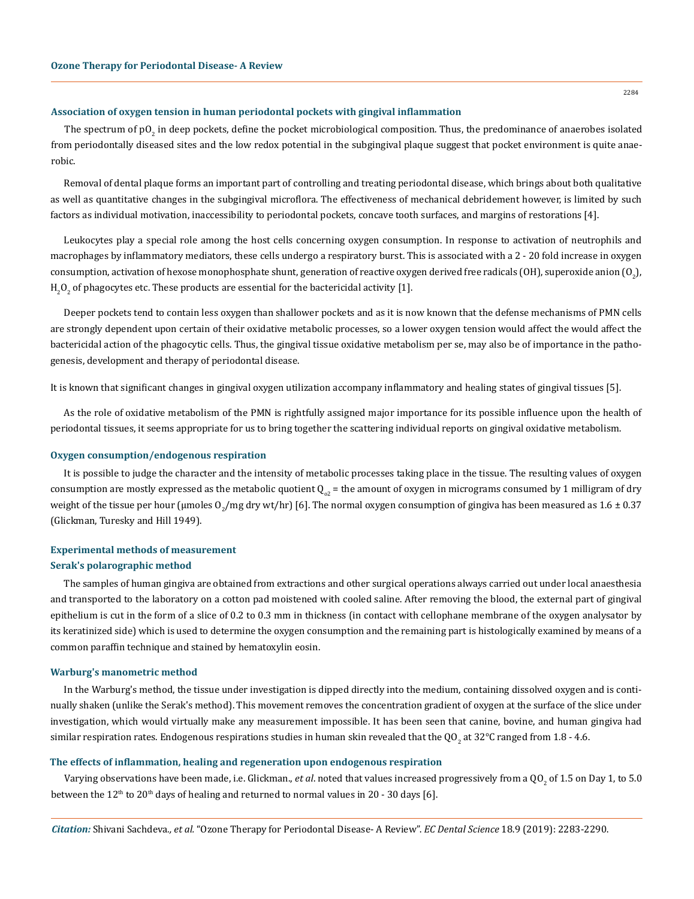### **Association of oxygen tension in human periodontal pockets with gingival inflammation**

The spectrum of pO<sub>2</sub> in deep pockets, define the pocket microbiological composition. Thus, the predominance of anaerobes isolated from periodontally diseased sites and the low redox potential in the subgingival plaque suggest that pocket environment is quite anaerobic.

Removal of dental plaque forms an important part of controlling and treating periodontal disease, which brings about both qualitative as well as quantitative changes in the subgingival microflora. The effectiveness of mechanical debridement however, is limited by such factors as individual motivation, inaccessibility to periodontal pockets, concave tooth surfaces, and margins of restorations [4].

Leukocytes play a special role among the host cells concerning oxygen consumption. In response to activation of neutrophils and macrophages by inflammatory mediators, these cells undergo a respiratory burst. This is associated with a 2 - 20 fold increase in oxygen consumption, activation of hexose monophosphate shunt, generation of reactive oxygen derived free radicals (OH), superoxide anion (O $_{2}$ ),  ${\rm H}_2{\rm O}_2$  of phagocytes etc. These products are essential for the bactericidal activity [1].

Deeper pockets tend to contain less oxygen than shallower pockets and as it is now known that the defense mechanisms of PMN cells are strongly dependent upon certain of their oxidative metabolic processes, so a lower oxygen tension would affect the would affect the bactericidal action of the phagocytic cells. Thus, the gingival tissue oxidative metabolism per se, may also be of importance in the pathogenesis, development and therapy of periodontal disease.

It is known that significant changes in gingival oxygen utilization accompany inflammatory and healing states of gingival tissues [5].

As the role of oxidative metabolism of the PMN is rightfully assigned major importance for its possible influence upon the health of periodontal tissues, it seems appropriate for us to bring together the scattering individual reports on gingival oxidative metabolism.

### **Oxygen consumption/endogenous respiration**

It is possible to judge the character and the intensity of metabolic processes taking place in the tissue. The resulting values of oxygen consumption are mostly expressed as the metabolic quotient  $Q_{\alpha}$  = the amount of oxygen in micrograms consumed by 1 milligram of dry weight of the tissue per hour (µmoles O<sub>2</sub>/mg dry wt/hr) [6]. The normal oxygen consumption of gingiva has been measured as  $1.6\pm0.37$ (Glickman, Turesky and Hill 1949).

# **Experimental methods of measurement**

#### **Serak's polarographic method**

The samples of human gingiva are obtained from extractions and other surgical operations always carried out under local anaesthesia and transported to the laboratory on a cotton pad moistened with cooled saline. After removing the blood, the external part of gingival epithelium is cut in the form of a slice of 0.2 to 0.3 mm in thickness (in contact with cellophane membrane of the oxygen analysator by its keratinized side) which is used to determine the oxygen consumption and the remaining part is histologically examined by means of a common paraffin technique and stained by hematoxylin eosin.

#### **Warburg's manometric method**

In the Warburg's method, the tissue under investigation is dipped directly into the medium, containing dissolved oxygen and is continually shaken (unlike the Serak's method). This movement removes the concentration gradient of oxygen at the surface of the slice under investigation, which would virtually make any measurement impossible. It has been seen that canine, bovine, and human gingiva had similar respiration rates. Endogenous respirations studies in human skin revealed that the QO<sub>2</sub> at 32°C ranged from 1.8 - 4.6.

### **The effects of inflammation, healing and regeneration upon endogenous respiration**

Varying observations have been made, i.e. Glickman., *et al*. noted that values increased progressively from a QO<sub>2</sub> of 1.5 on Day 1, to 5.0 between the  $12<sup>th</sup>$  to  $20<sup>th</sup>$  days of healing and returned to normal values in 20 - 30 days [6].

*Citation:* Shivani Sachdeva*., et al.* "Ozone Therapy for Periodontal Disease- A Review". *EC Dental Science* 18.9 (2019): 2283-2290.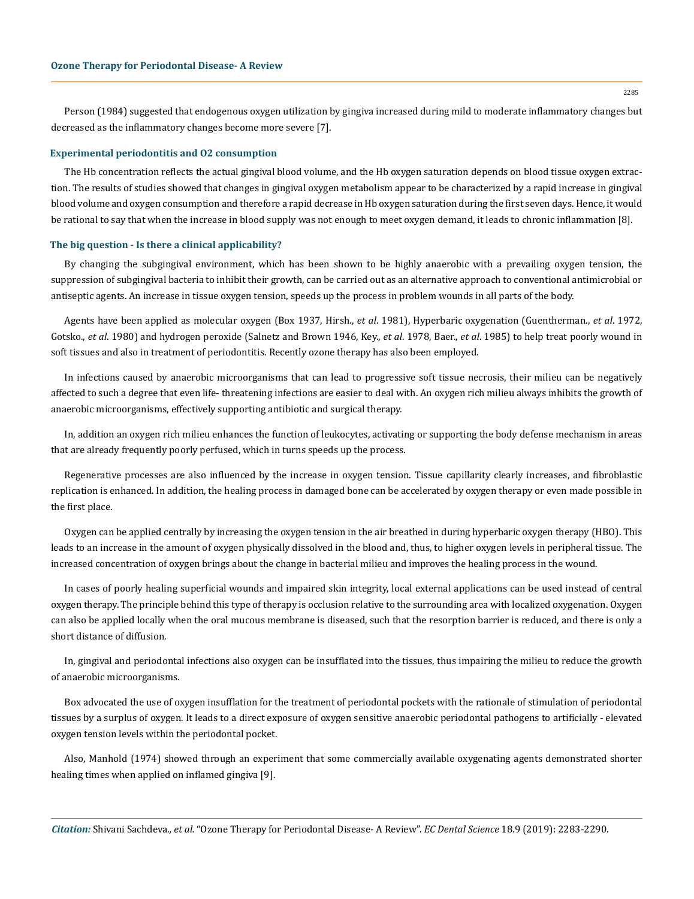Person (1984) suggested that endogenous oxygen utilization by gingiva increased during mild to moderate inflammatory changes but decreased as the inflammatory changes become more severe [7].

#### **Experimental periodontitis and O2 consumption**

The Hb concentration reflects the actual gingival blood volume, and the Hb oxygen saturation depends on blood tissue oxygen extraction. The results of studies showed that changes in gingival oxygen metabolism appear to be characterized by a rapid increase in gingival blood volume and oxygen consumption and therefore a rapid decrease in Hb oxygen saturation during the first seven days. Hence, it would be rational to say that when the increase in blood supply was not enough to meet oxygen demand, it leads to chronic inflammation [8].

#### **The big question - Is there a clinical applicability?**

By changing the subgingival environment, which has been shown to be highly anaerobic with a prevailing oxygen tension, the suppression of subgingival bacteria to inhibit their growth, can be carried out as an alternative approach to conventional antimicrobial or antiseptic agents. An increase in tissue oxygen tension, speeds up the process in problem wounds in all parts of the body.

Agents have been applied as molecular oxygen (Box 1937, Hirsh., *et al*. 1981), Hyperbaric oxygenation (Guentherman., *et al*. 1972, Gotsko., *et al*. 1980) and hydrogen peroxide (Salnetz and Brown 1946, Key., *et al*. 1978, Baer., *et al*. 1985) to help treat poorly wound in soft tissues and also in treatment of periodontitis. Recently [ozone therapy](https://www.austinozone.com) has also been employed.

In infections caused by anaerobic microorganisms that can lead to progressive soft tissue necrosis, their milieu can be negatively affected to such a degree that even life- threatening infections are easier to deal with. An oxygen rich milieu always inhibits the growth of anaerobic microorganisms, effectively supporting antibiotic and surgical therapy.

In, addition an oxygen rich milieu enhances the function of leukocytes, activating or supporting the body defense mechanism in areas that are already frequently poorly perfused, which in turns speeds up the process.

Regenerative processes are also influenced by the increase in oxygen tension. Tissue capillarity clearly increases, and fibroblastic replication is enhanced. In addition, the healing process in damaged bone can be accelerated by oxygen therapy or even made possible in the first place.

Oxygen can be applied centrally by increasing the oxygen tension in the air breathed in during hyperbaric oxygen therapy (HBO). This leads to an increase in the amount of oxygen physically dissolved in the blood and, thus, to higher oxygen levels in peripheral tissue. The increased concentration of oxygen brings about the change in bacterial milieu and improves the healing process in the wound.

In cases of poorly healing superficial wounds and impaired skin integrity, local external applications can be used instead of central oxygen therapy. The principle behind this type of therapy is occlusion relative to the surrounding area with localized oxygenation. Oxygen can also be applied locally when the oral mucous membrane is diseased, such that the resorption barrier is reduced, and there is only a short distance of diffusion.

In, gingival and periodontal infections also oxygen can be insufflated into the tissues, thus impairing the milieu to reduce the growth of anaerobic microorganisms.

Box advocated the use of oxygen insufflation for the treatment of periodontal pockets with the rationale of stimulation of periodontal tissues by a surplus of oxygen. It leads to a direct exposure of oxygen sensitive anaerobic periodontal pathogens to artificially - elevated oxygen tension levels within the periodontal pocket.

Also, Manhold (1974) showed through an experiment that some commercially available oxygenating agents demonstrated shorter healing times when applied on inflamed gingiva [9].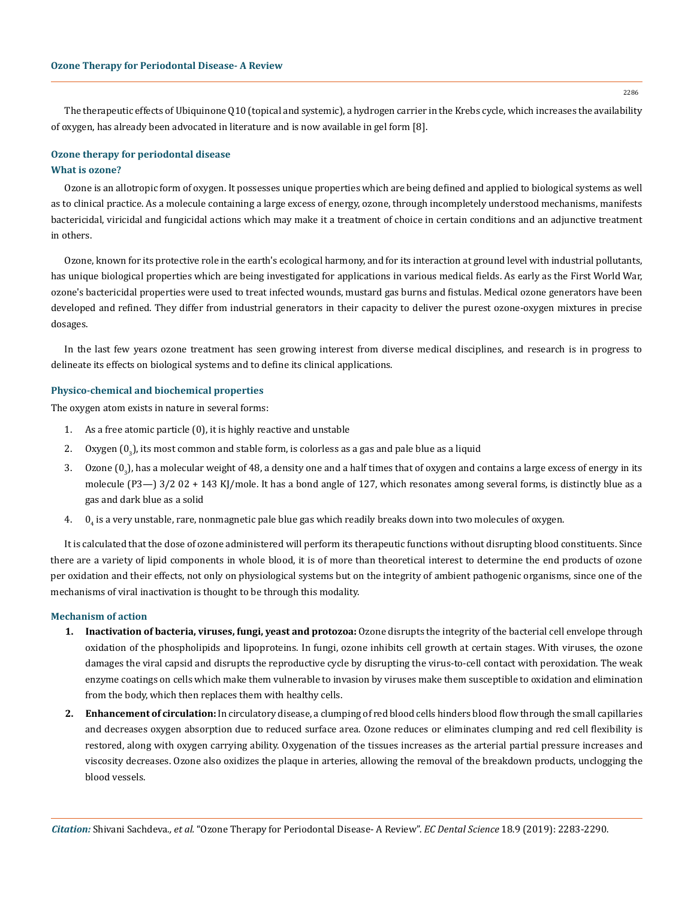The therapeutic effects of Ubiquinone Q10 (topical and systemic), a hydrogen carrier in the Krebs cycle, which increases the availability of oxygen, has already been advocated in literature and is now available in gel form [8].

### **What is ozone? Ozone therapy for periodontal disease**

Ozone is an allotropic form of oxygen. It possesses unique properties which are being defined and applied to biological systems as well as to clinical practice. As a molecule containing a large excess of energy, ozone, through incompletely understood mechanisms, manifests bactericidal, viricidal and fungicidal actions which may make it a treatment of choice in certain conditions and an adjunctive treatment in others.

Ozone, known for its protective role in the earth's ecological harmony, and for its interaction at ground level with industrial pollutants, has unique biological properties which are being investigated for applications in various medical fields. As early as the First World War, ozone's bactericidal properties were used to treat infected wounds, mustard gas burns and fistulas. Medical ozone generators have been developed and refined. They differ from industrial generators in their capacity to deliver the purest ozone-oxygen mixtures in precise dosages.

In the last few years ozone treatment has seen growing interest from diverse medical disciplines, and research is in progress to delineate its effects on biological systems and to define its clinical applications.

### **Physico-chemical and biochemical properties**

The oxygen atom exists in nature in several forms:

- 1. As a free atomic particle (0), it is highly reactive and unstable
- 2.  $\,$  Oxygen (0 $_{3}$ ), its most common and stable form, is colorless as a gas and pale blue as a liquid
- 3.  $\,$  Ozone (0 $_{3}$ ), has a molecular weight of 48, a density one and a half times that of oxygen and contains a large excess of energy in its molecule (P3—) 3/2 02 + 143 KJ/mole. It has a bond angle of 127, which resonates among several forms, is distinctly blue as a gas and dark blue as a solid
- 4.  $\,$  0  $_4$  is a very unstable, rare, nonmagnetic pale blue gas which readily breaks down into two molecules of oxygen.

It is calculated that the dose of ozone administered will perform its therapeutic functions without disrupting blood constituents. Since there are a variety of lipid components in whole blood, it is of more than theoretical interest to determine the end products of ozone per oxidation and their effects, not only on physiological systems but on the integrity of ambient pathogenic organisms, since one of the mechanisms of viral inactivation is thought to be through this modality.

### **Mechanism of action**

- **1. Inactivation of bacteria, viruses, fungi, yeast and protozoa:** Ozone disrupts the integrity of the bacterial cell envelope through oxidation of the phospholipids and lipoproteins. In fungi, ozone inhibits cell growth at certain stages. With viruses, the ozone damages the viral capsid and disrupts the reproductive cycle by disrupting the virus-to-cell contact with peroxidation. The weak enzyme coatings on cells which make them vulnerable to invasion by viruses make them susceptible to oxidation and elimination from the body, which then replaces them with healthy cells.
- **2. Enhancement of circulation:** In circulatory disease, a clumping of red blood cells hinders blood flow through the small capillaries and decreases oxygen absorption due to reduced surface area. Ozone reduces or eliminates clumping and red cell flexibility is restored, along with oxygen carrying ability. Oxygenation of the tissues increases as the arterial partial pressure increases and viscosity decreases. Ozone also oxidizes the plaque in arteries, allowing the removal of the breakdown products, unclogging the blood vessels.

2286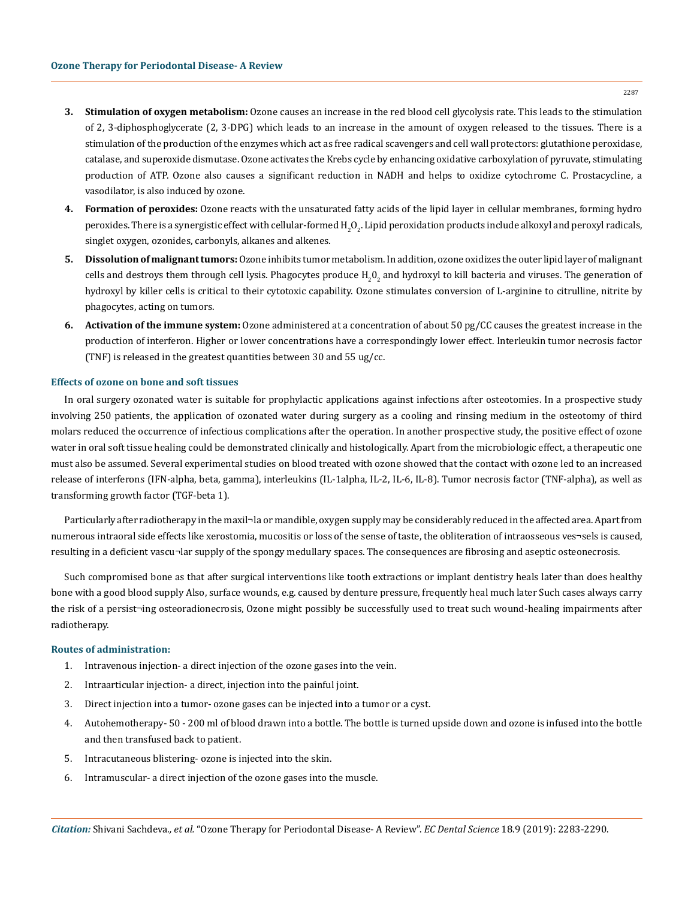- **3. Stimulation of oxygen metabolism:** Ozone causes an increase in the red blood cell glycolysis rate. This leads to the stimulation of 2, 3-diphosphoglycerate (2, 3-DPG) which leads to an increase in the amount of oxygen released to the tissues. There is a stimulation of the production of the enzymes which act as free radical scavengers and cell wall protectors: glutathione peroxidase, catalase, and superoxide dismutase. Ozone activates the Krebs cycle by enhancing oxidative carboxylation of pyruvate, stimulating production of ATP. Ozone also causes a significant reduction in NADH and helps to oxidize cytochrome C. Prostacycline, a vasodilator, is also induced by ozone.
- **4. Formation of peroxides:** Ozone reacts with the unsaturated fatty acids of the lipid layer in cellular membranes, forming hydro peroxides. There is a synergistic effect with cellular-formed H<sub>2</sub>O<sub>2</sub>. Lipid peroxidation products include alkoxyl and peroxyl radicals, singlet oxygen, ozonides, carbonyls, alkanes and alkenes.
- **5. Dissolution of malignant tumors:** Ozone inhibits tumor metabolism. In addition, ozone oxidizes the outer lipid layer of malignant cells and destroys them through cell lysis. Phagocytes produce  $\mathrm{H}_2\mathrm{O}_2$  and hydroxyl to kill bacteria and viruses. The generation of hydroxyl by killer cells is critical to their cytotoxic capability. Ozone stimulates conversion of L-arginine to citrulline, nitrite by phagocytes, acting on tumors.
- **6. Activation of the immune system:** Ozone administered at a concentration of about 50 pg/CC causes the greatest increase in the production of interferon. Higher or lower concentrations have a correspondingly lower effect. Interleukin tumor necrosis factor (TNF) is released in the greatest quantities between 30 and 55 ug/cc.

#### **Effects of ozone on bone and soft tissues**

In oral surgery ozonated water is suitable for prophylactic applications against infections after osteotomies. In a prospective study involving 250 patients, the application of ozonated water during surgery as a cooling and rinsing medium in the osteotomy of third molars reduced the occurrence of infectious complications after the operation. In another prospective study, the positive effect of ozone water in oral soft tissue healing could be demonstrated clinically and histologically. Apart from the microbiologic effect, a therapeutic one must also be assumed. Several experimental studies on blood treated with ozone showed that the contact with ozone led to an increased release of interferons (IFN-alpha, beta, gamma), interleukins (IL-1alpha, IL-2, IL-6, IL-8). Tumor necrosis factor (TNF-alpha), as well as transforming growth factor (TGF-beta 1).

Particularly after radiotherapy in the maxil¬la or mandible, oxygen supply may be considerably reduced in the affected area. Apart from numerous intraoral side effects like xerostomia, mucositis or loss of the sense of taste, the obliteration of intraosseous ves¬sels is caused, resulting in a deficient vascu¬lar supply of the spongy medullary spaces. The consequences are fibrosing and aseptic osteonecrosis.

Such compromised bone as that after surgical interventions like tooth extractions or implant dentistry heals later than does healthy bone with a good blood supply Also, surface wounds, e.g. caused by denture pressure, frequently heal much later Such cases always carry the risk of a persist¬ing osteoradionecrosis, Ozone might possibly be successfully used to treat such wound-healing impairments after radiotherapy.

### **Routes of administration:**

- 1. Intravenous injection- a direct injection of the ozone gases into the vein.
- 2. Intraarticular injection- a direct, injection into the painful joint.
- 3. Direct injection into a tumor- ozone gases can be injected into a tumor or a cyst.
- 4. Autohemotherapy- 50 200 ml of blood drawn into a bottle. The bottle is turned upside down and ozone is infused into the bottle and then transfused back to patient.
- 5. Intracutaneous blistering- ozone is injected into the skin.
- 6. Intramuscular- a direct injection of the ozone gases into the muscle.

2287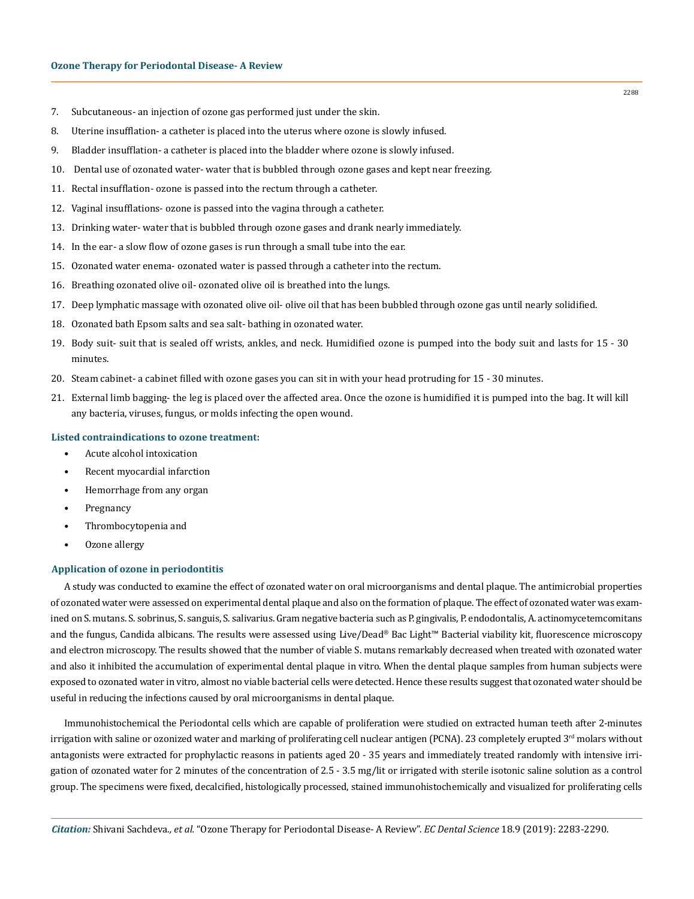- 7. Subcutaneous- an injection of ozone gas performed just under the skin.
- 8. Uterine insufflation- a catheter is placed into the uterus where ozone is slowly infused.
- 9. Bladder insufflation- a catheter is placed into the bladder where ozone is slowly infused.
- 10. Dental use of ozonated water- water that is bubbled through ozone gases and kept near freezing.
- 11. Rectal insufflation- ozone is passed into the rectum through a catheter.
- 12. Vaginal insufflations- ozone is passed into the vagina through a catheter.
- 13. Drinking water- water that is bubbled through ozone gases and drank nearly immediately.
- 14. In the ear- a slow flow of ozone gases is run through a small tube into the ear.
- 15. Ozonated water enema- ozonated water is passed through a catheter into the rectum.
- 16. Breathing ozonated olive oil- ozonated olive oil is breathed into the lungs.
- 17. Deep lymphatic massage with ozonated olive oil- olive oil that has been bubbled through ozone gas until nearly solidified.
- 18. Ozonated bath Epsom salts and sea salt- bathing in ozonated water.
- 19. Body suit- suit that is sealed off wrists, ankles, and neck. Humidified ozone is pumped into the body suit and lasts for 15 30 minutes.
- 20. Steam cabinet- a cabinet filled with ozone gases you can sit in with your head protruding for 15 30 minutes.
- 21. External limb bagging- the leg is placed over the affected area. Once the ozone is humidified it is pumped into the bag. It will kill any bacteria, viruses, fungus, or molds infecting the open wound.

### **Listed contraindications to ozone treatment:**

- Acute alcohol intoxication
- Recent myocardial infarction
- Hemorrhage from any organ
- Pregnancy
- Thrombocytopenia and
- Ozone allergy

### **Application of ozone in periodontitis**

A study was conducted to examine the effect of ozonated water on oral microorganisms and dental plaque. The antimicrobial properties of ozonated water were assessed on experimental dental plaque and also on the formation of plaque. The effect of ozonated water was examined on S. mutans. S. sobrinus, S. sanguis, S. salivarius. Gram negative bacteria such as P. gingivalis, P. endodontalis, A. actinomycetemcomitans and the fungus, Candida albicans. The results were assessed using Live/Dead® Bac Light™ Bacterial viability kit, fluorescence microscopy and electron microscopy. The results showed that the number of viable S. mutans remarkably decreased when treated with ozonated water and also it inhibited the accumulation of experimental dental plaque in vitro. When the dental plaque samples from human subjects were exposed to ozonated water in vitro, almost no viable bacterial cells were detected. Hence these results suggest that ozonated water should be useful in reducing the infections caused by oral microorganisms in dental plaque.

Immunohistochemical the Periodontal cells which are capable of proliferation were studied on extracted human teeth after 2-minutes irrigation with saline or ozonized water and marking of proliferating cell nuclear antigen (PCNA). 23 completely erupted  $3<sup>rd</sup>$  molars without antagonists were extracted for prophylactic reasons in patients aged 20 - 35 years and immediately treated randomly with intensive irrigation of ozonated water for 2 minutes of the concentration of 2.5 - 3.5 mg/lit or irrigated with sterile isotonic saline solution as a control group. The specimens were fixed, decalcified, histologically processed, stained immunohistochemically and visualized for proliferating cells

2288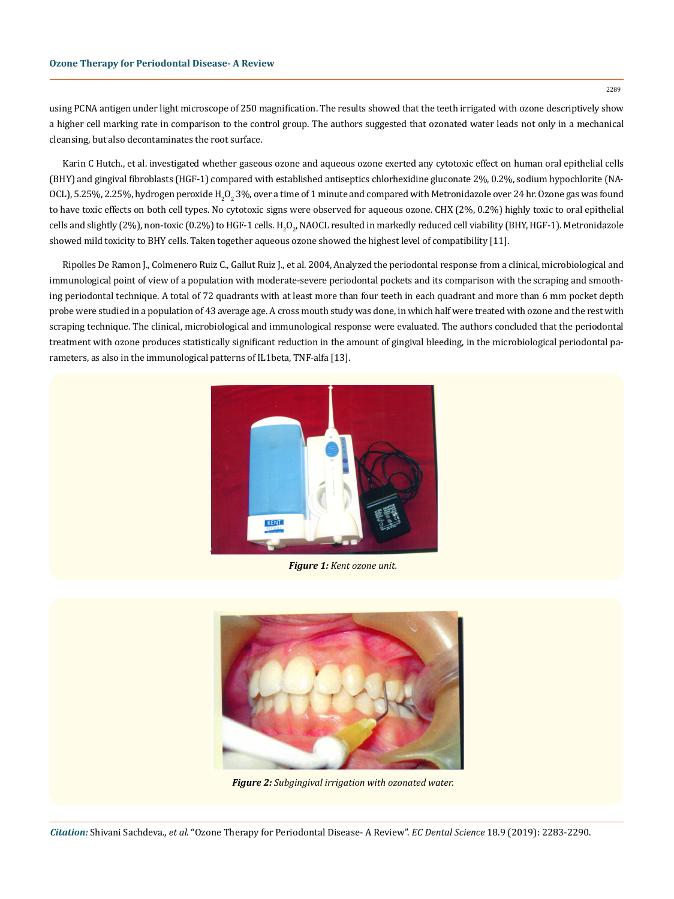2289

using PCNA antigen under light microscope of 250 magnification. The results showed that the teeth irrigated with ozone descriptively show a higher cell marking rate in comparison to the control group. The authors suggested that ozonated water leads not only in a mechanical cleansing, but also decontaminates the root surface.

Karin C Hutch., et al. investigated whether gaseous ozone and aqueous ozone exerted any cytotoxic effect on human oral epithelial cells (BHY) and gingival fibroblasts (HGF-1) compared with established antiseptics chlorhexidine gluconate 2%, 0.2%, sodium hypochlorite (NA-OCL), 5.25%, 2.25%, hydrogen peroxide H $_{2}$ O $_{2}$ 3%, over a time of 1 minute and compared with Metronidazole over 24 hr. Ozone gas was found to have toxic effects on both cell types. No cytotoxic signs were observed for aqueous ozone. CHX (2%, 0.2%) highly toxic to oral epithelial cells and slightly (2%), non-toxic (0.2%) to HGF-1 cells. H<sub>2</sub>O<sub>2</sub>, NAOCL resulted in markedly reduced cell viability (BHY, HGF-1). Metronidazole showed mild toxicity to BHY cells. Taken together aqueous ozone showed the highest level of compatibility [11].

[Ripolles De Ramon J.](http://wwwscielo.isciii.es/cgi-bin/wxis.exe/iah/?IsisScript=iah/iah.xis&base=article%5edlibrary&format=iso.pft&lang=i&nextAction=lnk&indexSearch=AU&exprSearch=RIPOLLES+DE+RAMON,+J.), [Colmenero Ruiz C.](http://wwwscielo.isciii.es/cgi-bin/wxis.exe/iah/?IsisScript=iah/iah.xis&base=article%5edlibrary&format=iso.pft&lang=i&nextAction=lnk&indexSearch=AU&exprSearch=COLMENERO+RUIZ,+C.), [Gallut Ruiz J.,](http://wwwscielo.isciii.es/cgi-bin/wxis.exe/iah/?IsisScript=iah/iah.xis&base=article%5edlibrary&format=iso.pft&lang=i&nextAction=lnk&indexSearch=AU&exprSearch=GALLUT+RUIZ,+J.) et al. 2004, Analyzed the periodontal response from a clinical, microbiological and immunological point of view of a population with moderate-severe periodontal pockets and its comparison with the scraping and smoothing periodontal technique. A total of 72 quadrants with at least more than four teeth in each quadrant and more than 6 mm pocket depth probe were studied in a population of 43 average age. A cross mouth study was done, in which half were treated with ozone and the rest with scraping technique. The clinical, microbiological and immunological response were evaluated. The authors concluded that the periodontal treatment with ozone produces statistically significant reduction in the amount of gingival bleeding, in the microbiological periodontal parameters, as also in the immunological patterns of IL1beta, TNF-alfa [13].



*Figure 1: Kent ozone unit.*



*Figure 2: Subgingival irrigation with ozonated water.*